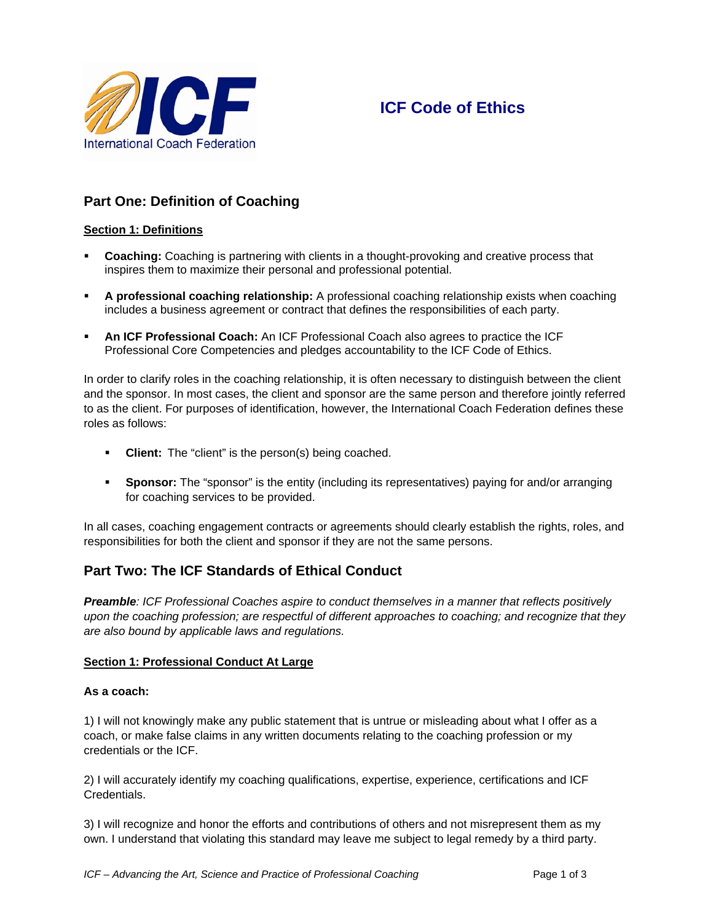

# **ICF Code of Ethics**

## **Part One: Definition of Coaching**

#### **Section 1: Definitions**

- **Coaching:** Coaching is partnering with clients in a thought-provoking and creative process that inspires them to maximize their personal and professional potential.
- **A professional coaching relationship:** A professional coaching relationship exists when coaching includes a business agreement or contract that defines the responsibilities of each party.
- **An ICF Professional Coach:** An ICF Professional Coach also agrees to practice the ICF Professional Core Competencies and pledges accountability to the ICF Code of Ethics.

In order to clarify roles in the coaching relationship, it is often necessary to distinguish between the client and the sponsor. In most cases, the client and sponsor are the same person and therefore jointly referred to as the client. For purposes of identification, however, the International Coach Federation defines these roles as follows:

- **Client:** The "client" is the person(s) being coached.
- **Sponsor:** The "sponsor" is the entity (including its representatives) paying for and/or arranging for coaching services to be provided.

In all cases, coaching engagement contracts or agreements should clearly establish the rights, roles, and responsibilities for both the client and sponsor if they are not the same persons.

### **Part Two: The ICF Standards of Ethical Conduct**

*Preamble: ICF Professional Coaches aspire to conduct themselves in a manner that reflects positively upon the coaching profession; are respectful of different approaches to coaching; and recognize that they are also bound by applicable laws and regulations.*

#### **Section 1: Professional Conduct At Large**

#### **As a coach:**

1) I will not knowingly make any public statement that is untrue or misleading about what I offer as a coach, or make false claims in any written documents relating to the coaching profession or my credentials or the ICF.

2) I will accurately identify my coaching qualifications, expertise, experience, certifications and ICF Credentials.

3) I will recognize and honor the efforts and contributions of others and not misrepresent them as my own. I understand that violating this standard may leave me subject to legal remedy by a third party.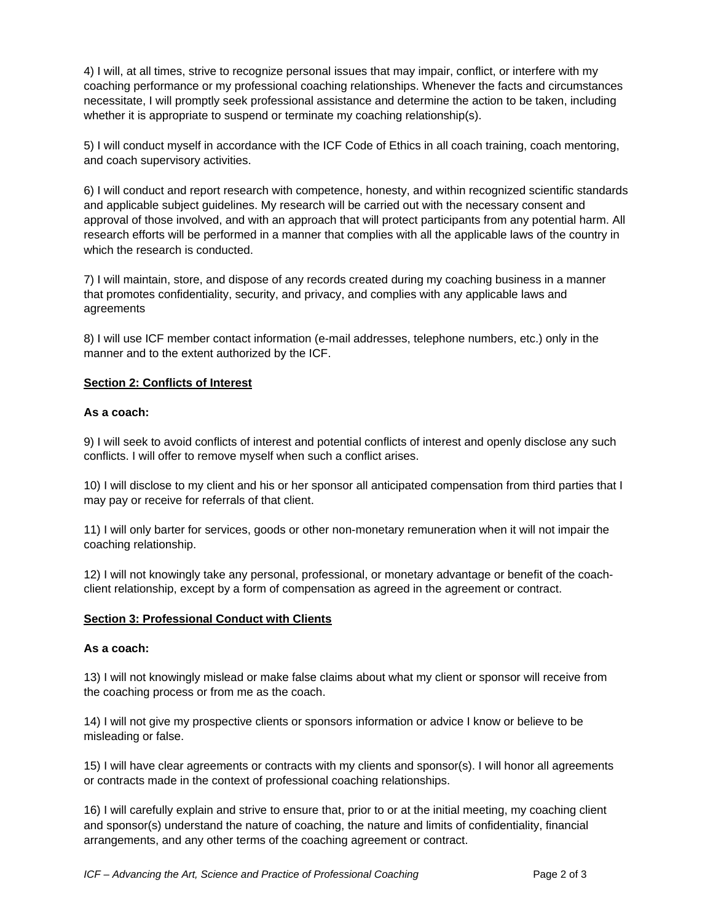4) I will, at all times, strive to recognize personal issues that may impair, conflict, or interfere with my coaching performance or my professional coaching relationships. Whenever the facts and circumstances necessitate, I will promptly seek professional assistance and determine the action to be taken, including whether it is appropriate to suspend or terminate my coaching relationship(s).

5) I will conduct myself in accordance with the ICF Code of Ethics in all coach training, coach mentoring, and coach supervisory activities.

6) I will conduct and report research with competence, honesty, and within recognized scientific standards and applicable subject guidelines. My research will be carried out with the necessary consent and approval of those involved, and with an approach that will protect participants from any potential harm. All research efforts will be performed in a manner that complies with all the applicable laws of the country in which the research is conducted.

7) I will maintain, store, and dispose of any records created during my coaching business in a manner that promotes confidentiality, security, and privacy, and complies with any applicable laws and agreements

8) I will use ICF member contact information (e-mail addresses, telephone numbers, etc.) only in the manner and to the extent authorized by the ICF.

#### **Section 2: Conflicts of Interest**

#### **As a coach:**

9) I will seek to avoid conflicts of interest and potential conflicts of interest and openly disclose any such conflicts. I will offer to remove myself when such a conflict arises.

10) I will disclose to my client and his or her sponsor all anticipated compensation from third parties that I may pay or receive for referrals of that client.

11) I will only barter for services, goods or other non-monetary remuneration when it will not impair the coaching relationship.

12) I will not knowingly take any personal, professional, or monetary advantage or benefit of the coachclient relationship, except by a form of compensation as agreed in the agreement or contract.

#### **Section 3: Professional Conduct with Clients**

#### **As a coach:**

13) I will not knowingly mislead or make false claims about what my client or sponsor will receive from the coaching process or from me as the coach.

14) I will not give my prospective clients or sponsors information or advice I know or believe to be misleading or false.

15) I will have clear agreements or contracts with my clients and sponsor(s). I will honor all agreements or contracts made in the context of professional coaching relationships.

16) I will carefully explain and strive to ensure that, prior to or at the initial meeting, my coaching client and sponsor(s) understand the nature of coaching, the nature and limits of confidentiality, financial arrangements, and any other terms of the coaching agreement or contract.